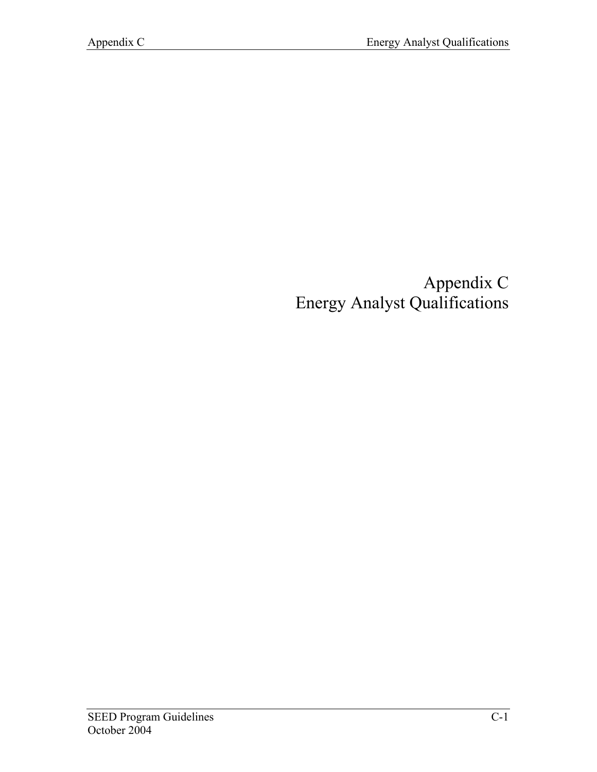## Appendix C Energy Analyst Qualifications